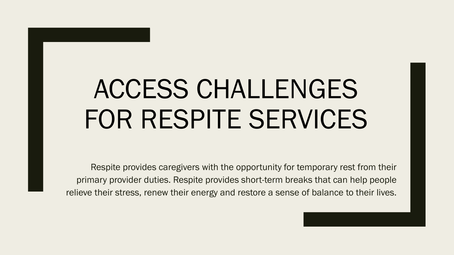# ACCESS CHALLENGES FOR RESPITE SERVICES

Respite provides caregivers with the opportunity for temporary rest from their primary provider duties. Respite provides short-term breaks that can help people relieve their stress, renew their energy and restore a sense of balance to their lives.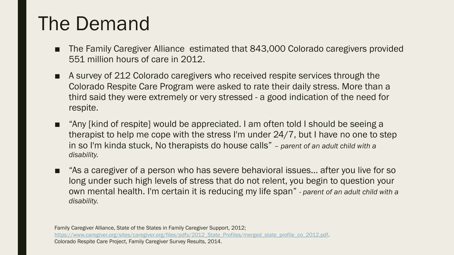### The Demand

- The Family Caregiver Alliance estimated that 843,000 Colorado caregivers provided 551 million hours of care in 2012.
- A survey of 212 Colorado caregivers who received respite services through the Colorado Respite Care Program were asked to rate their daily stress. More than a third said they were extremely or very stressed - a good indication of the need for respite.
- "Any [kind of respite] would be appreciated. I am often told I should be seeing a therapist to help me cope with the stress I'm under 24/7, but I have no one to step in so I'm kinda stuck, No therapists do house calls" – *parent of an adult child with a disability.*
- "As a caregiver of a person who has severe behavioral issues... after you live for so long under such high levels of stress that do not relent, you begin to question your own mental health. I'm certain it is reducing my life span" - *parent of an adult child with a disability.*

Family Caregiver Alliance, State of the States in Family Caregiver Support, 2012; [https://www.caregiver.org/sites/caregiver.org/files/pdfs/2012\\_State\\_Profiles/merged\\_state\\_profile\\_co\\_2012.pdf.](https://www.caregiver.org/sites/caregiver.org/files/pdfs/2012_State_Profiles/merged_state_profile_co_2012.pdf) Colorado Respite Care Project, Family Caregiver Survey Results, 2014.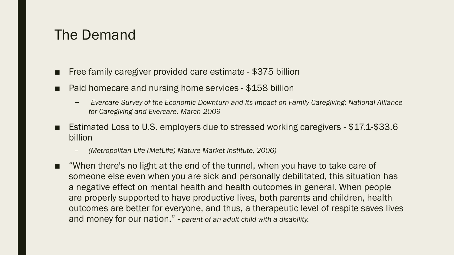#### The Demand

- Free family caregiver provided care estimate \$375 billion
- Paid homecare and nursing home services \$158 billion
	- *Evercare Survey of the Economic Downturn and Its Impact on Family Caregiving; National Alliance for Caregiving and Evercare. March 2009*
- Estimated Loss to U.S. employers due to stressed working caregivers \$17.1-\$33.6 billion
	- *(Metropolitan Life (MetLife) Mature Market Institute, 2006)*
- "When there's no light at the end of the tunnel, when you have to take care of someone else even when you are sick and personally debilitated, this situation has a negative effect on mental health and health outcomes in general. When people are properly supported to have productive lives, both parents and children, health outcomes are better for everyone, and thus, a therapeutic level of respite saves lives and money for our nation." - *parent of an adult child with a disability.*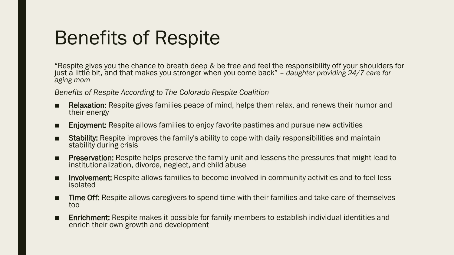### Benefits of Respite

"Respite gives you the chance to breath deep & be free and feel the responsibility off your shoulders for just a little bit, and that makes you stronger when you come back" *– daughter providing 24/7 care for aging mom*

*Benefits of Respite According to The Colorado Respite Coalition* 

- Relaxation: Respite gives families peace of mind, helps them relax, and renews their humor and their energy
- Enjoyment: Respite allows families to enjoy favorite pastimes and pursue new activities
- Stability: Respite improves the family's ability to cope with daily responsibilities and maintain stability during crisis
- Preservation: Respite helps preserve the family unit and lessens the pressures that might lead to institutionalization, divorce, neglect, and child abuse
- Involvement: Respite allows families to become involved in community activities and to feel less isolated
- Time Off: Respite allows caregivers to spend time with their families and take care of themselves too
- Enrichment: Respite makes it possible for family members to establish individual identities and enrich their own growth and development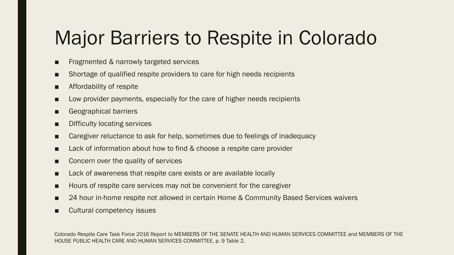### Major Barriers to Respite in Colorado

- Fragmented & narrowly targeted services
- Shortage of qualified respite providers to care for high needs recipients
- Affordability of respite
- Low provider payments, especially for the care of higher needs recipients
- Geographical barriers
- Difficulty locating services
- Caregiver reluctance to ask for help, sometimes due to feelings of inadequacy
- Lack of information about how to find & choose a respite care provider
- Concern over the quality of services
- Lack of awareness that respite care exists or are available locally
- Hours of respite care services may not be convenient for the caregiver
- 24 hour in-home respite not allowed in certain Home & Community Based Services waivers
- Cultural competency issues

Colorado Respite Care Task Force 2016 Report to MEMBERS OF THE SENATE HEALTH AND HUMAN SERVICES COMMITTEE and MEMBERS OF THE HOUSE PUBLIC HEALTH CARE AND HUMAN SERVICES COMMITTEE, p. 9 Table 2.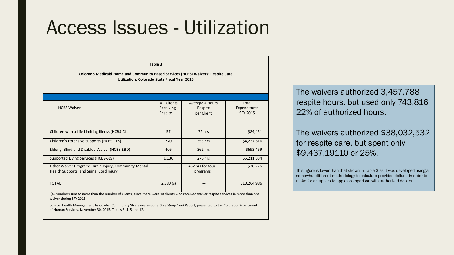#### Access Issues - Utilization

**Table 3**

**Colorado Medicaid Home and Community Based Services (HCBS) Waivers: Respite Care Utilization, Colorado State Fiscal Year 2015**

| <b>HCBS Waiver</b>                                                                                                                    | <b>Clients</b><br>#<br>Receiving<br>Respite | Average # Hours<br>Respite<br>per Client | Total<br>Expenditures<br><b>SFY 2015</b> |
|---------------------------------------------------------------------------------------------------------------------------------------|---------------------------------------------|------------------------------------------|------------------------------------------|
| Children with a Life Limiting Illness (HCBS-CLLI)                                                                                     | 57                                          | 72 hrs                                   | \$84,451                                 |
| Children's Extensive Supports (HCBS-CES)                                                                                              | 770                                         | 353 hrs                                  | \$4,237,516                              |
| Elderly, Blind and Disabled Waiver (HCBS-EBD)                                                                                         | 406                                         | 362 hrs                                  | \$693,459                                |
| Supported Living Services (HCBS-SLS)                                                                                                  | 1,130                                       | 276 hrs                                  | \$5,211,334                              |
| Other Waiver Programs: Brain Injury, Community Mental<br>Health Supports, and Spinal Cord Injury                                      | 35                                          | 482 hrs for four<br>programs             | \$38,226                                 |
| <b>TOTAL</b>                                                                                                                          | 2,380(a)                                    |                                          | \$10,264,986                             |
| (a) Numbers sum to more than the number of clients, since there were 18 clients who received waiver respite services in more than one |                                             |                                          |                                          |

waiver during SFY 2015.

Source: Health Management Associates Community Strategies, *Respite Care Study Final Report,* presented to the Colorado Department of Human Services, November 30, 2015, Tables 3, 4, 5 and 12.

The waivers authorized 3,457,788 respite hours, but used only 743,816 22% of authorized hours.

#### The waivers authorized \$38,032,532 for respite care, but spent only \$9,437,19110 or 25%.

This figure is lower than that shown in Table 3 as it was developed using a somewhat different methodology to calculate provided dollars in order to make for an apples-to-apples comparison with authorized dollars .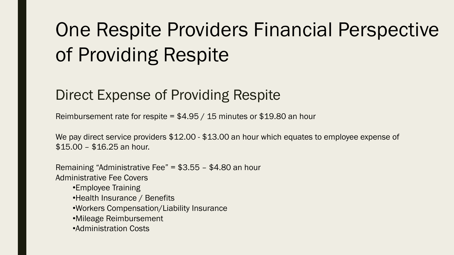## One Respite Providers Financial Perspective of Providing Respite

#### Direct Expense of Providing Respite

Reimbursement rate for respite = \$4.95 / 15 minutes or \$19.80 an hour

We pay direct service providers \$12.00 - \$13.00 an hour which equates to employee expense of \$15.00 – \$16.25 an hour.

Remaining "Administrative Fee" = \$3.55 – \$4.80 an hour Administrative Fee Covers

- •Employee Training
- •Health Insurance / Benefits
- •Workers Compensation/Liability Insurance
- •Mileage Reimbursement
- •Administration Costs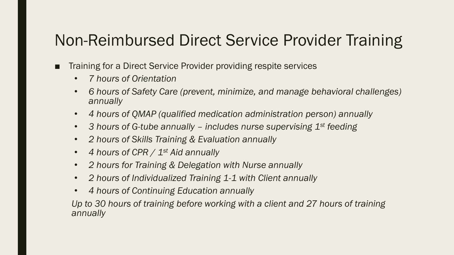#### Non-Reimbursed Direct Service Provider Training

- Training for a Direct Service Provider providing respite services
	- *7 hours of Orientation*
	- *6 hours of Safety Care (prevent, minimize, and manage behavioral challenges) annually*
	- *4 hours of QMAP (qualified medication administration person) annually*
	- *3 hours of G-tube annually – includes nurse supervising 1st feeding*
	- *2 hours of Skills Training & Evaluation annually*
	- *4 hours of CPR / 1st Aid annually*
	- *2 hours for Training & Delegation with Nurse annually*
	- *2 hours of Individualized Training 1-1 with Client annually*
	- *4 hours of Continuing Education annually*

*Up to 30 hours of training before working with a client and 27 hours of training annually*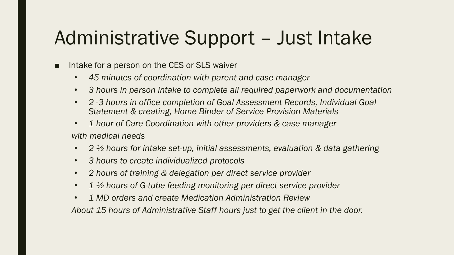### Administrative Support – Just Intake

- Intake for a person on the CES or SLS waiver
	- *45 minutes of coordination with parent and case manager*
	- *3 hours in person intake to complete all required paperwork and documentation*
	- *2 -3 hours in office completion of Goal Assessment Records, Individual Goal Statement & creating, Home Binder of Service Provision Materials*
	- *1 hour of Care Coordination with other providers & case manager with medical needs*
	- *2 ½ hours for intake set-up, initial assessments, evaluation & data gathering*
	- *3 hours to create individualized protocols*
	- *2 hours of training & delegation per direct service provider*
	- *1 ½ hours of G-tube feeding monitoring per direct service provider*
	- *1 MD orders and create Medication Administration Review*

*About 15 hours of Administrative Staff hours just to get the client in the door.*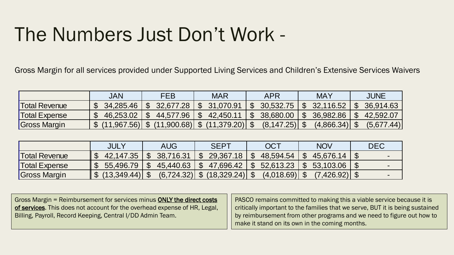### The Numbers Just Don't Work -

Gross Margin for all services provided under Supported Living Services and Children's Extensive Services Waivers

|                      | JAN       | <b>FEB</b>                                                                                  | <b>MAR</b>                | APR                                    | <b>MAY</b>              | JUNE       |
|----------------------|-----------|---------------------------------------------------------------------------------------------|---------------------------|----------------------------------------|-------------------------|------------|
| <b>Total Revenue</b> | 34.285.46 | \$32.677.28                                                                                 | \$ 31,070.91              | 30.532.75                              | $\frac{1}{2}$ 32,116.52 | 36.914.63  |
| <b>Total Expense</b> | 46,253.02 | $\mathbb{S}$                                                                                | $44,577.96$   \$42,450.11 | $\frac{1}{2}$ 38.680.00   \$ 36.982.86 |                         | 42,592.07  |
| Gross Margin         |           | $\frac{1}{2}$ (11,967.56) $\frac{1}{2}$ (11,900.68) $\frac{1}{2}$ (11,379.20) $\frac{1}{2}$ |                           |                                        |                         | (5.677.44) |

|                                                                                                                                                                                                                         | <b>JULY</b>        | AUG                        | <b>SEPT</b>      | <b>OCT</b>                                     | <b>NOV</b>                | DEC.                                                                                                                                                                                            |
|-------------------------------------------------------------------------------------------------------------------------------------------------------------------------------------------------------------------------|--------------------|----------------------------|------------------|------------------------------------------------|---------------------------|-------------------------------------------------------------------------------------------------------------------------------------------------------------------------------------------------|
| <b>Total Revenue</b>                                                                                                                                                                                                    | 42,147.35          | 38,716.31<br>$\mathcal{L}$ | 29,367.18<br>\$  | 48,594.54<br>\$                                | \$45,676.14               | $\mathcal{L}$                                                                                                                                                                                   |
| <b>Total Expense</b>                                                                                                                                                                                                    | 55,496.79          | 45,440.63<br>\$            | 47,696.42<br>\$. | 52,613.23<br>\$                                | 53,103.06<br>$\mathbb{S}$ | $\mathcal{S}$                                                                                                                                                                                   |
| <b>Gross Margin</b>                                                                                                                                                                                                     | (13,349.44)<br>\$. | $(6, 724.32)$ \$           | $(18,329.24)$ \$ | $(4.018.69)$ \$                                | $(7.426.92)$ \$           |                                                                                                                                                                                                 |
|                                                                                                                                                                                                                         |                    |                            |                  |                                                |                           |                                                                                                                                                                                                 |
| Gross Margin = Reimbursement for services minus <b>ONLY the direct costs</b><br>of services. This does not account for the overhead expense of HR, Legal,<br>Billing, Payroll, Record Keeping, Central I/DD Admin Team. |                    |                            |                  | make it stand on its own in the coming months. |                           | PASCO remains committed to making this a viable service be<br>critically important to the families that we serve, BUT it is being<br>by reimbursement from other programs and we need to figure |

| Gross Margin = Reimbursement for services minus ONLY the direct costs     | PASCO remains committed to making this a viable service because it is         |
|---------------------------------------------------------------------------|-------------------------------------------------------------------------------|
| of services. This does not account for the overhead expense of HR, Legal, | critically important to the families that we serve, BUT it is being sustained |
| Billing, Payroll, Record Keeping, Central I/DD Admin Team.                | by reimbursement from other programs and we need to figure out how to         |
|                                                                           | make it stand on its own in the coming months.                                |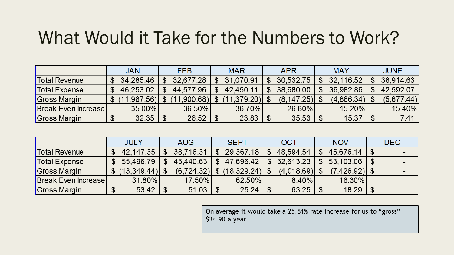#### What Would it Take for the Numbers to Work?

|                            | <b>JAN</b>     | <b>FEB</b>     |     | <b>MAR</b>  | <b>APR</b>       | <b>MAY</b> |            | <b>JUNE</b> |
|----------------------------|----------------|----------------|-----|-------------|------------------|------------|------------|-------------|
| <b>Total Revenue</b>       | 34,285.46      | 32,677.28      |     | 31.070.91   | 30,532.75        |            | 32,116.52  | 36,914.63   |
| Total Expense              | 46,253.02      | 44,577.96      | \$. | 42,450.11   | 38,680.00        |            | 36,982.86  | 42,592.07   |
| Gross Margin               | \$ (11,967.56) | $.900.68$   \$ |     | (11.379.20) | $(8, 147.25)$ \$ |            | (4,866.34) | (5,677.44)  |
| <b>Break Even Increase</b> | $35.00\%$      | 36.50%         |     | 36.70%      | 26.80%           |            | 15.20%     | 15.40%      |
| Gross Margin               | 32.35          | 26.52          |     | 23.83       | 35.53            |            | 15.37      | \$<br>7.41  |

|                      | <b>JULY</b> |              | AUG        | <b>SEPT</b>      | <b>OCT</b>      | <b>NOV</b>     | <b>DEC</b> |
|----------------------|-------------|--------------|------------|------------------|-----------------|----------------|------------|
| Total Revenue        | 42,147.35   | $\mathbb{S}$ | 38,716.31  | 29,367.18        | 48,594.54       | 45,676.14      | \$         |
| <b>Total Expense</b> | 55.496.79   | \$           | 45.440.63  | 47.696.42        | 52.613.23       | 53,103.06      |            |
| Gross Margin         | (13,349.44) |              | (6.724.32) | $(18,329.24)$ \$ | $(4,018.69)$ \$ | (7,426.92)  \$ |            |
| Break Even Increase  | 31.80%      |              | 17.50%     | 62.50%           | $8.40\%$        | $16.30\%$ -    |            |
| Gross Margin         | 53.42       |              | 51.03      | 25.24            | 63.25           | 18.29          |            |

On average it would take a 25.81% rate increase for us to "gross" \$34.90 a year.